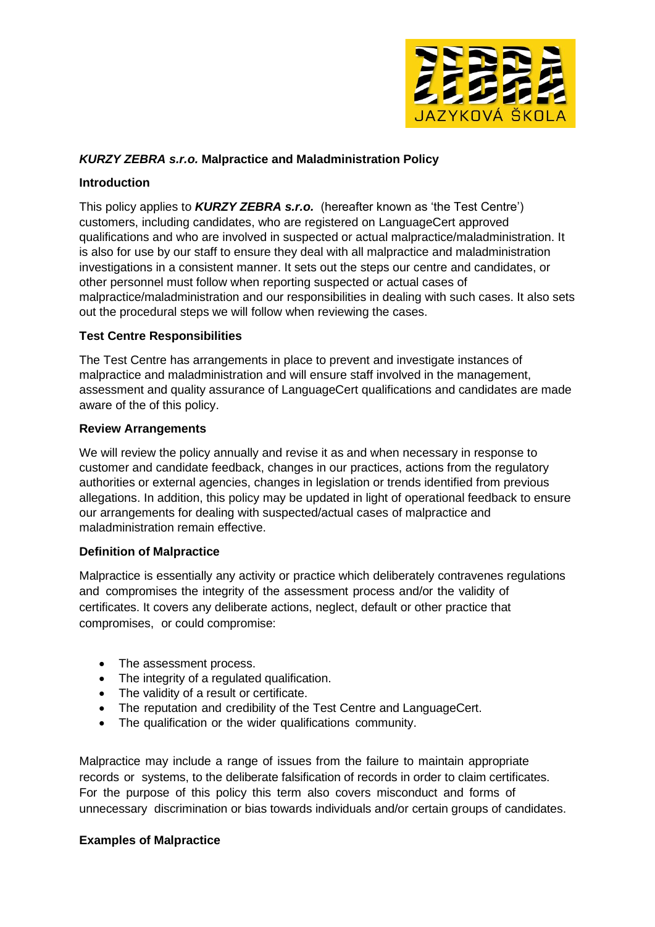

# *KURZY ZEBRA s.r.o.* **Malpractice and Maladministration Policy**

#### **Introduction**

This policy applies to *KURZY ZEBRA s.r.o.* (hereafter known as 'the Test Centre') customers, including candidates, who are registered on LanguageCert approved qualifications and who are involved in suspected or actual malpractice/maladministration. It is also for use by our staff to ensure they deal with all malpractice and maladministration investigations in a consistent manner. It sets out the steps our centre and candidates, or other personnel must follow when reporting suspected or actual cases of malpractice/maladministration and our responsibilities in dealing with such cases. It also sets out the procedural steps we will follow when reviewing the cases.

## **Test Centre Responsibilities**

The Test Centre has arrangements in place to prevent and investigate instances of malpractice and maladministration and will ensure staff involved in the management, assessment and quality assurance of LanguageCert qualifications and candidates are made aware of the of this policy.

#### **Review Arrangements**

We will review the policy annually and revise it as and when necessary in response to customer and candidate feedback, changes in our practices, actions from the regulatory authorities or external agencies, changes in legislation or trends identified from previous allegations. In addition, this policy may be updated in light of operational feedback to ensure our arrangements for dealing with suspected/actual cases of malpractice and maladministration remain effective.

## **Definition of Malpractice**

Malpractice is essentially any activity or practice which deliberately contravenes regulations and compromises the integrity of the assessment process and/or the validity of certificates. It covers any deliberate actions, neglect, default or other practice that compromises, or could compromise:

- The assessment process.
- The integrity of a regulated qualification.
- The validity of a result or certificate.
- The reputation and credibility of the Test Centre and LanguageCert.
- The qualification or the wider qualifications community.

Malpractice may include a range of issues from the failure to maintain appropriate records or systems, to the deliberate falsification of records in order to claim certificates. For the purpose of this policy this term also covers misconduct and forms of unnecessary discrimination or bias towards individuals and/or certain groups of candidates.

## **Examples of Malpractice**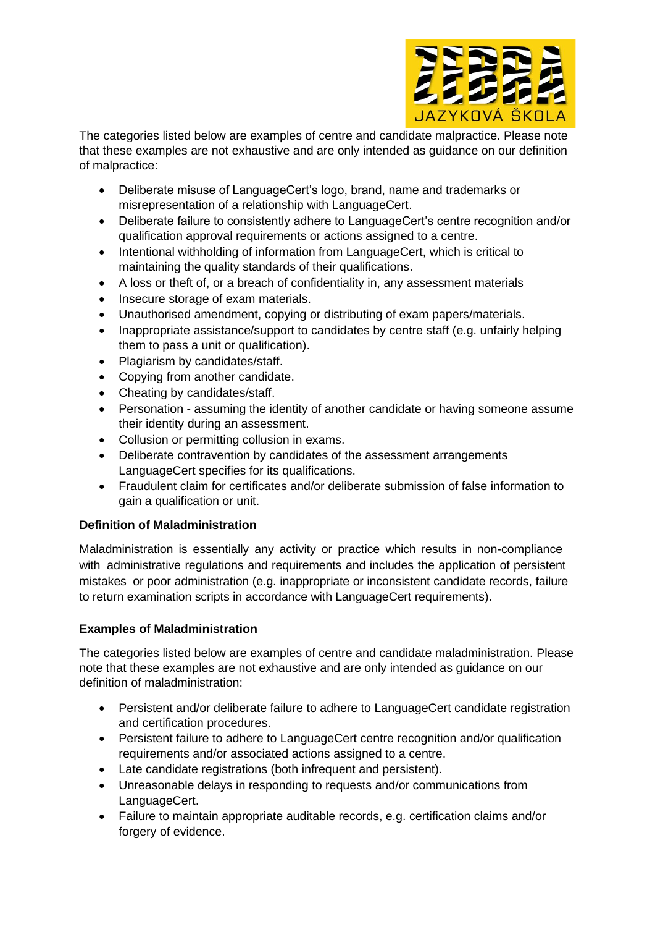

The categories listed below are examples of centre and candidate malpractice. Please note that these examples are not exhaustive and are only intended as guidance on our definition of malpractice:

- Deliberate misuse of LanguageCert's logo, brand, name and trademarks or misrepresentation of a relationship with LanguageCert.
- Deliberate failure to consistently adhere to LanguageCert's centre recognition and/or qualification approval requirements or actions assigned to a centre.
- Intentional withholding of information from LanguageCert, which is critical to maintaining the quality standards of their qualifications.
- A loss or theft of, or a breach of confidentiality in, any assessment materials
- Insecure storage of exam materials.
- Unauthorised amendment, copying or distributing of exam papers/materials.
- Inappropriate assistance/support to candidates by centre staff (e.g. unfairly helping them to pass a unit or qualification).
- Plagiarism by candidates/staff.
- Copying from another candidate.
- Cheating by candidates/staff.
- Personation assuming the identity of another candidate or having someone assume their identity during an assessment.
- Collusion or permitting collusion in exams.
- Deliberate contravention by candidates of the assessment arrangements LanguageCert specifies for its qualifications.
- Fraudulent claim for certificates and/or deliberate submission of false information to gain a qualification or unit.

# **Definition of Maladministration**

Maladministration is essentially any activity or practice which results in non-compliance with administrative regulations and requirements and includes the application of persistent mistakes or poor administration (e.g. inappropriate or inconsistent candidate records, failure to return examination scripts in accordance with LanguageCert requirements).

# **Examples of Maladministration**

The categories listed below are examples of centre and candidate maladministration. Please note that these examples are not exhaustive and are only intended as guidance on our definition of maladministration:

- Persistent and/or deliberate failure to adhere to LanguageCert candidate registration and certification procedures.
- Persistent failure to adhere to LanguageCert centre recognition and/or qualification requirements and/or associated actions assigned to a centre.
- Late candidate registrations (both infrequent and persistent).
- Unreasonable delays in responding to requests and/or communications from LanguageCert.
- Failure to maintain appropriate auditable records, e.g. certification claims and/or forgery of evidence.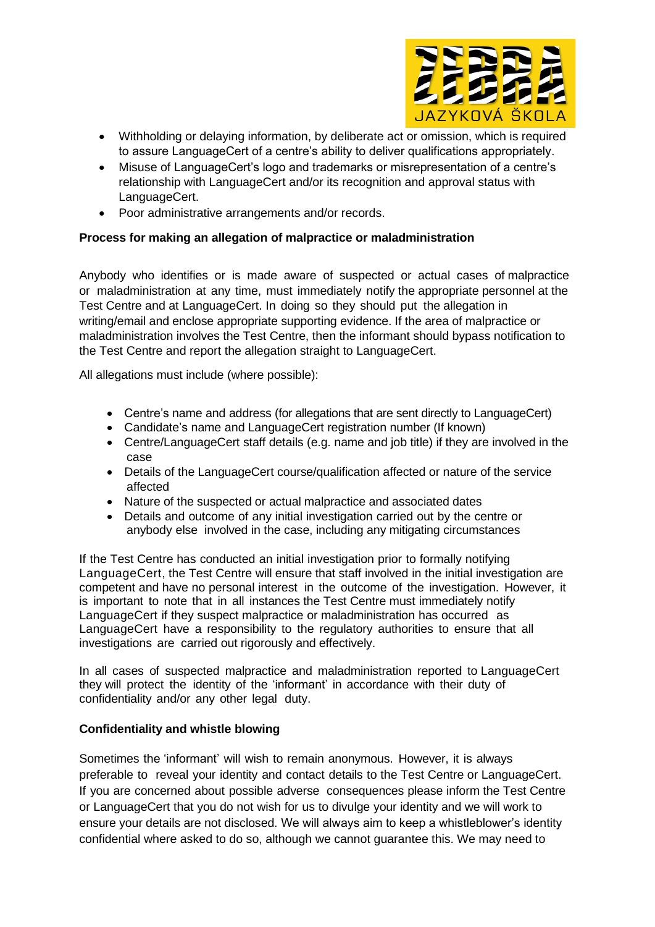

- Withholding or delaying information, by deliberate act or omission, which is required to assure LanguageCert of a centre's ability to deliver qualifications appropriately.
- Misuse of LanguageCert's logo and trademarks or misrepresentation of a centre's relationship with LanguageCert and/or its recognition and approval status with LanguageCert.
- Poor administrative arrangements and/or records.

## **Process for making an allegation of malpractice or maladministration**

Anybody who identifies or is made aware of suspected or actual cases of malpractice or maladministration at any time, must immediately notify the appropriate personnel at the Test Centre and at LanguageCert. In doing so they should put the allegation in writing/email and enclose appropriate supporting evidence. If the area of malpractice or maladministration involves the Test Centre, then the informant should bypass notification to the Test Centre and report the allegation straight to LanguageCert.

All allegations must include (where possible):

- Centre's name and address (for allegations that are sent directly to LanguageCert)
- Candidate's name and LanguageCert registration number (If known)
- Centre/LanguageCert staff details (e.g. name and job title) if they are involved in the case
- Details of the LanguageCert course/qualification affected or nature of the service affected
- Nature of the suspected or actual malpractice and associated dates
- Details and outcome of any initial investigation carried out by the centre or anybody else involved in the case, including any mitigating circumstances

If the Test Centre has conducted an initial investigation prior to formally notifying LanguageCert, the Test Centre will ensure that staff involved in the initial investigation are competent and have no personal interest in the outcome of the investigation. However, it is important to note that in all instances the Test Centre must immediately notify LanguageCert if they suspect malpractice or maladministration has occurred as LanguageCert have a responsibility to the regulatory authorities to ensure that all investigations are carried out rigorously and effectively.

In all cases of suspected malpractice and maladministration reported to LanguageCert they will protect the identity of the 'informant' in accordance with their duty of confidentiality and/or any other legal duty.

## **Confidentiality and whistle blowing**

Sometimes the 'informant' will wish to remain anonymous. However, it is always preferable to reveal your identity and contact details to the Test Centre or LanguageCert. If you are concerned about possible adverse consequences please inform the Test Centre or LanguageCert that you do not wish for us to divulge your identity and we will work to ensure your details are not disclosed. We will always aim to keep a whistleblower's identity confidential where asked to do so, although we cannot guarantee this. We may need to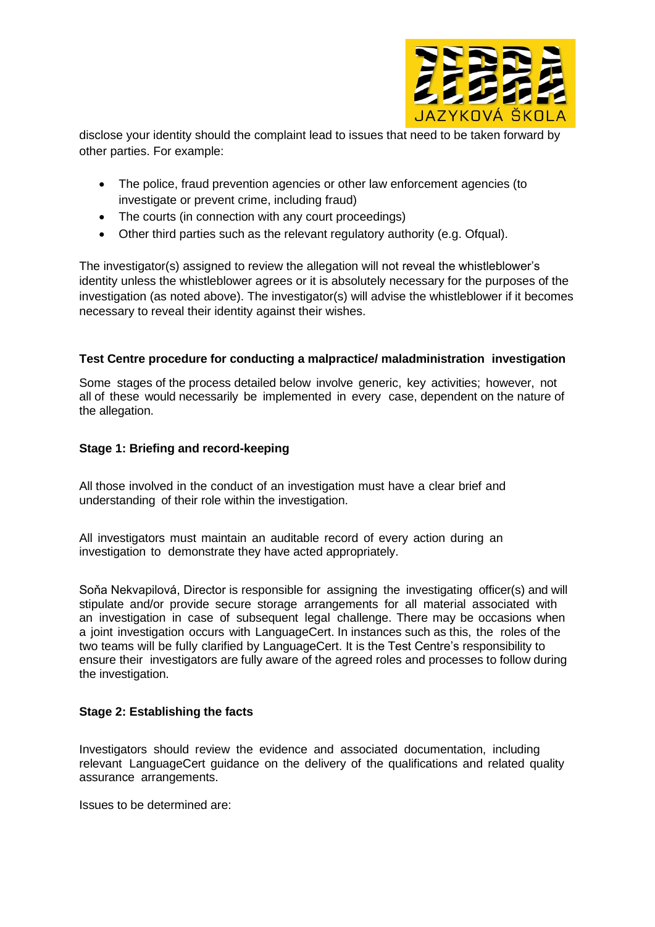

disclose your identity should the complaint lead to issues that need to be taken forward by other parties. For example:

- The police, fraud prevention agencies or other law enforcement agencies (to investigate or prevent crime, including fraud)
- The courts (in connection with any court proceedings)
- Other third parties such as the relevant regulatory authority (e.g. Ofqual).

The investigator(s) assigned to review the allegation will not reveal the whistleblower's identity unless the whistleblower agrees or it is absolutely necessary for the purposes of the investigation (as noted above). The investigator(s) will advise the whistleblower if it becomes necessary to reveal their identity against their wishes.

## **Test Centre procedure for conducting a malpractice/ maladministration investigation**

Some stages of the process detailed below involve generic, key activities; however, not all of these would necessarily be implemented in every case, dependent on the nature of the allegation.

#### **Stage 1: Briefing and record-keeping**

All those involved in the conduct of an investigation must have a clear brief and understanding of their role within the investigation.

All investigators must maintain an auditable record of every action during an investigation to demonstrate they have acted appropriately.

Soňa Nekvapilová, Director is responsible for assigning the investigating officer(s) and will stipulate and/or provide secure storage arrangements for all material associated with an investigation in case of subsequent legal challenge. There may be occasions when a joint investigation occurs with LanguageCert. In instances such as this, the roles of the two teams will be fully clarified by LanguageCert. It is the Test Centre's responsibility to ensure their investigators are fully aware of the agreed roles and processes to follow during the investigation.

## **Stage 2: Establishing the facts**

Investigators should review the evidence and associated documentation, including relevant LanguageCert guidance on the delivery of the qualifications and related quality assurance arrangements.

Issues to be determined are: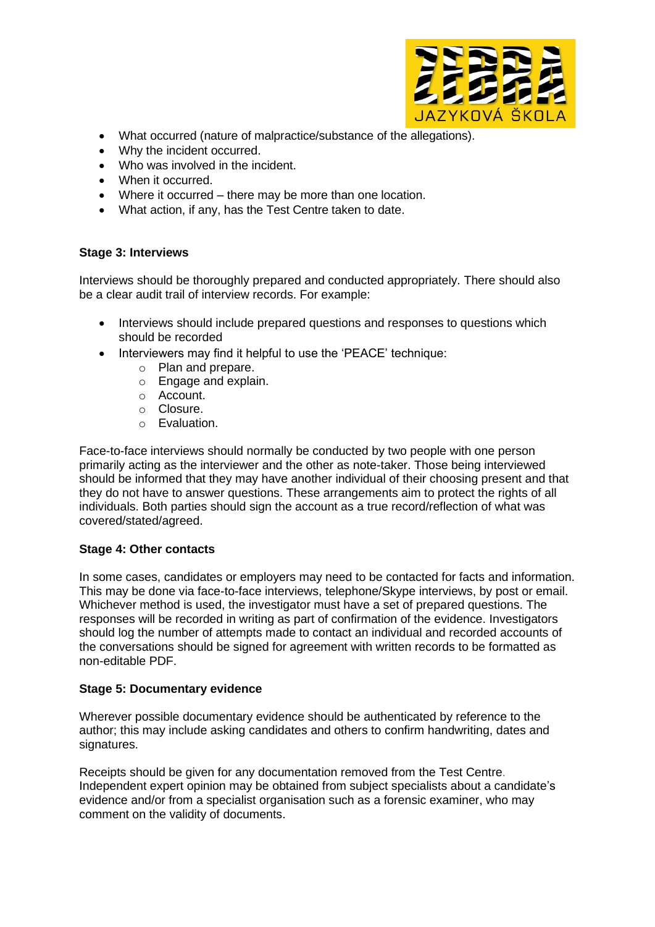

- What occurred (nature of malpractice/substance of the allegations).
- Why the incident occurred.
- Who was involved in the incident.
- When it occurred.
- Where it occurred there may be more than one location.
- What action, if any, has the Test Centre taken to date.

## **Stage 3: Interviews**

Interviews should be thoroughly prepared and conducted appropriately. There should also be a clear audit trail of interview records. For example:

- Interviews should include prepared questions and responses to questions which should be recorded
- Interviewers may find it helpful to use the 'PEACE' technique:
	- o Plan and prepare.
	- o Engage and explain.
	- o Account.
	- o Closure.
	- o Evaluation.

Face-to-face interviews should normally be conducted by two people with one person primarily acting as the interviewer and the other as note-taker. Those being interviewed should be informed that they may have another individual of their choosing present and that they do not have to answer questions. These arrangements aim to protect the rights of all individuals. Both parties should sign the account as a true record/reflection of what was covered/stated/agreed.

## **Stage 4: Other contacts**

In some cases, candidates or employers may need to be contacted for facts and information. This may be done via face-to-face interviews, telephone/Skype interviews, by post or email. Whichever method is used, the investigator must have a set of prepared questions. The responses will be recorded in writing as part of confirmation of the evidence. Investigators should log the number of attempts made to contact an individual and recorded accounts of the conversations should be signed for agreement with written records to be formatted as non-editable PDF.

## **Stage 5: Documentary evidence**

Wherever possible documentary evidence should be authenticated by reference to the author; this may include asking candidates and others to confirm handwriting, dates and signatures.

Receipts should be given for any documentation removed from the Test Centre. Independent expert opinion may be obtained from subject specialists about a candidate's evidence and/or from a specialist organisation such as a forensic examiner, who may comment on the validity of documents.